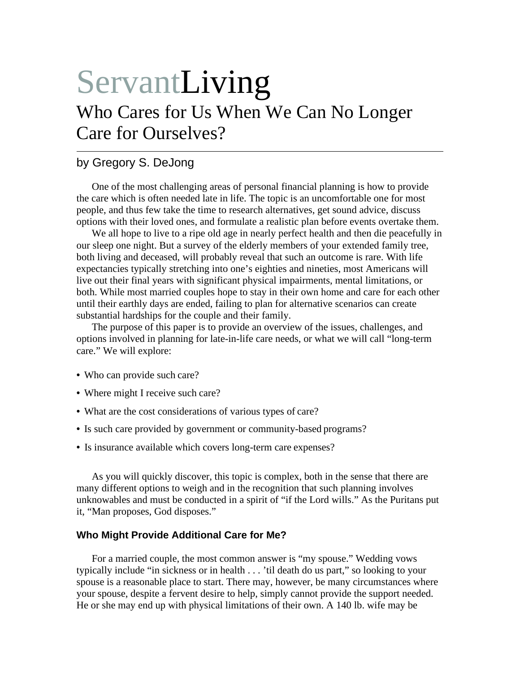# ServantLiving Who Cares for Us When We Can No Longer Care for Ourselves?

# by Gregory S. DeJong

One of the most challenging areas of personal financial planning is how to provide the care which is often needed late in life. The topic is an uncomfortable one for most people, and thus few take the time to research alternatives, get sound advice, discuss options with their loved ones, and formulate a realistic plan before events overtake them.

We all hope to live to a ripe old age in nearly perfect health and then die peacefully in our sleep one night. But a survey of the elderly members of your extended family tree, both living and deceased, will probably reveal that such an outcome is rare. With life expectancies typically stretching into one's eighties and nineties, most Americans will live out their final years with significant physical impairments, mental limitations, or both. While most married couples hope to stay in their own home and care for each other until their earthly days are ended, failing to plan for alternative scenarios can create substantial hardships for the couple and their family.

The purpose of this paper is to provide an overview of the issues, challenges, and options involved in planning for late-in-life care needs, or what we will call "long-term care." We will explore:

- Who can provide such care?
- Where might I receive such care?
- What are the cost considerations of various types of care?
- Is such care provided by government or community-based programs?
- Is insurance available which covers long-term care expenses?

As you will quickly discover, this topic is complex, both in the sense that there are many different options to weigh and in the recognition that such planning involves unknowables and must be conducted in a spirit of "if the Lord wills." As the Puritans put it, "Man proposes, God disposes."

#### **Who Might Provide Additional Care for Me?**

For a married couple, the most common answer is "my spouse." Wedding vows typically include "in sickness or in health . . . 'til death do us part," so looking to your spouse is a reasonable place to start. There may, however, be many circumstances where your spouse, despite a fervent desire to help, simply cannot provide the support needed. He or she may end up with physical limitations of their own. A 140 lb. wife may be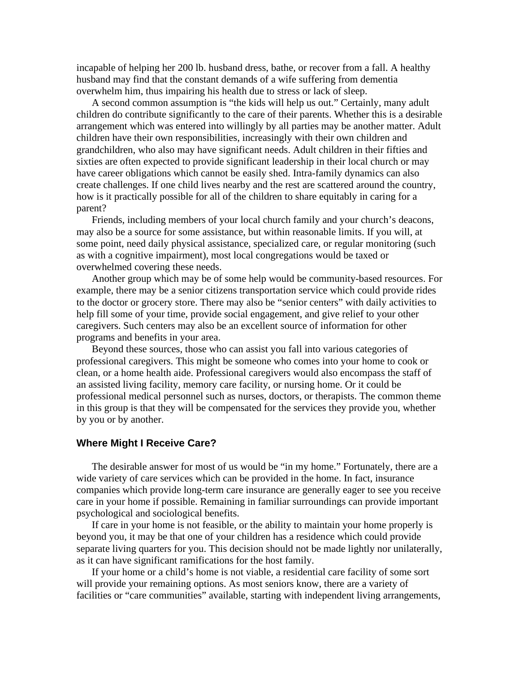incapable of helping her 200 lb. husband dress, bathe, or recover from a fall. A healthy husband may find that the constant demands of a wife suffering from dementia overwhelm him, thus impairing his health due to stress or lack of sleep.

A second common assumption is "the kids will help us out." Certainly, many adult children do contribute significantly to the care of their parents. Whether this is a desirable arrangement which was entered into willingly by all parties may be another matter. Adult children have their own responsibilities, increasingly with their own children and grandchildren, who also may have significant needs. Adult children in their fifties and sixties are often expected to provide significant leadership in their local church or may have career obligations which cannot be easily shed. Intra-family dynamics can also create challenges. If one child lives nearby and the rest are scattered around the country, how is it practically possible for all of the children to share equitably in caring for a parent?

Friends, including members of your local church family and your church's deacons, may also be a source for some assistance, but within reasonable limits. If you will, at some point, need daily physical assistance, specialized care, or regular monitoring (such as with a cognitive impairment), most local congregations would be taxed or overwhelmed covering these needs.

Another group which may be of some help would be community-based resources. For example, there may be a senior citizens transportation service which could provide rides to the doctor or grocery store. There may also be "senior centers" with daily activities to help fill some of your time, provide social engagement, and give relief to your other caregivers. Such centers may also be an excellent source of information for other programs and benefits in your area.

Beyond these sources, those who can assist you fall into various categories of professional caregivers. This might be someone who comes into your home to cook or clean, or a home health aide. Professional caregivers would also encompass the staff of an assisted living facility, memory care facility, or nursing home. Or it could be professional medical personnel such as nurses, doctors, or therapists. The common theme in this group is that they will be compensated for the services they provide you, whether by you or by another.

#### **Where Might I Receive Care?**

The desirable answer for most of us would be "in my home." Fortunately, there are a wide variety of care services which can be provided in the home. In fact, insurance companies which provide long-term care insurance are generally eager to see you receive care in your home if possible. Remaining in familiar surroundings can provide important psychological and sociological benefits.

If care in your home is not feasible, or the ability to maintain your home properly is beyond you, it may be that one of your children has a residence which could provide separate living quarters for you. This decision should not be made lightly nor unilaterally, as it can have significant ramifications for the host family.

If your home or a child's home is not viable, a residential care facility of some sort will provide your remaining options. As most seniors know, there are a variety of facilities or "care communities" available, starting with independent living arrangements,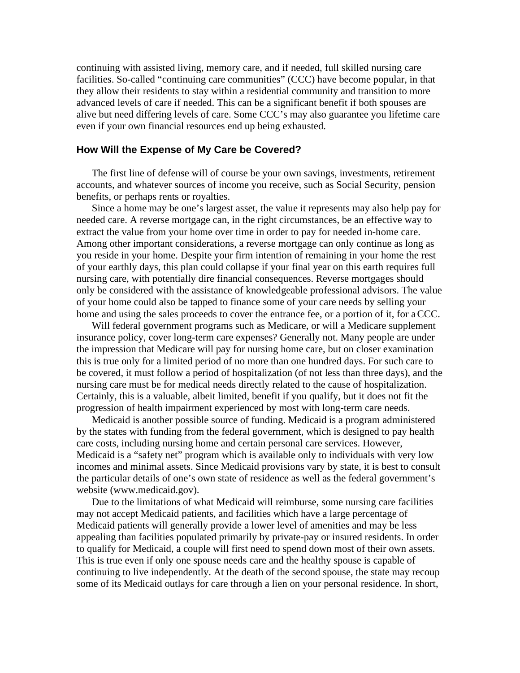continuing with assisted living, memory care, and if needed, full skilled nursing care facilities. So-called "continuing care communities" (CCC) have become popular, in that they allow their residents to stay within a residential community and transition to more advanced levels of care if needed. This can be a significant benefit if both spouses are alive but need differing levels of care. Some CCC's may also guarantee you lifetime care even if your own financial resources end up being exhausted.

#### **How Will the Expense of My Care be Covered?**

The first line of defense will of course be your own savings, investments, retirement accounts, and whatever sources of income you receive, such as Social Security, pension benefits, or perhaps rents or royalties.

Since a home may be one's largest asset, the value it represents may also help pay for needed care. A reverse mortgage can, in the right circumstances, be an effective way to extract the value from your home over time in order to pay for needed in-home care. Among other important considerations, a reverse mortgage can only continue as long as you reside in your home. Despite your firm intention of remaining in your home the rest of your earthly days, this plan could collapse if your final year on this earth requires full nursing care, with potentially dire financial consequences. Reverse mortgages should only be considered with the assistance of knowledgeable professional advisors. The value of your home could also be tapped to finance some of your care needs by selling your home and using the sales proceeds to cover the entrance fee, or a portion of it, for a CCC.

Will federal government programs such as Medicare, or will a Medicare supplement insurance policy, cover long-term care expenses? Generally not. Many people are under the impression that Medicare will pay for nursing home care, but on closer examination this is true only for a limited period of no more than one hundred days. For such care to be covered, it must follow a period of hospitalization (of not less than three days), and the nursing care must be for medical needs directly related to the cause of hospitalization. Certainly, this is a valuable, albeit limited, benefit if you qualify, but it does not fit the progression of health impairment experienced by most with long-term care needs.

Medicaid is another possible source of funding. Medicaid is a program administered by the states with funding from the federal government, which is designed to pay health care costs, including nursing home and certain personal care services. However, Medicaid is a "safety net" program which is available only to individuals with very low incomes and minimal assets. Since Medicaid provisions vary by state, it is best to consult the particular details of one's own state of residence as well as the federal government's website (www.medicaid.gov).

Due to the limitations of what Medicaid will reimburse, some nursing care facilities may not accept Medicaid patients, and facilities which have a large percentage of Medicaid patients will generally provide a lower level of amenities and may be less appealing than facilities populated primarily by private-pay or insured residents. In order to qualify for Medicaid, a couple will first need to spend down most of their own assets. This is true even if only one spouse needs care and the healthy spouse is capable of continuing to live independently. At the death of the second spouse, the state may recoup some of its Medicaid outlays for care through a lien on your personal residence. In short,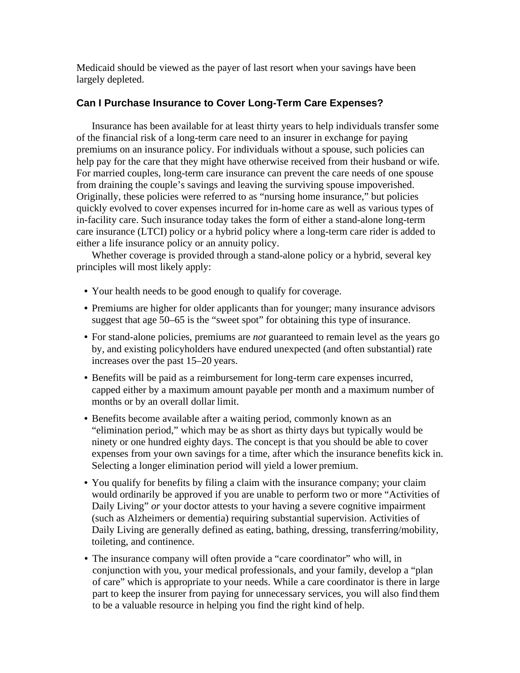Medicaid should be viewed as the payer of last resort when your savings have been largely depleted.

# **Can I Purchase Insurance to Cover Long-Term Care Expenses?**

Insurance has been available for at least thirty years to help individuals transfer some of the financial risk of a long-term care need to an insurer in exchange for paying premiums on an insurance policy. For individuals without a spouse, such policies can help pay for the care that they might have otherwise received from their husband or wife. For married couples, long-term care insurance can prevent the care needs of one spouse from draining the couple's savings and leaving the surviving spouse impoverished. Originally, these policies were referred to as "nursing home insurance," but policies quickly evolved to cover expenses incurred for in-home care as well as various types of in-facility care. Such insurance today takes the form of either a stand-alone long-term care insurance (LTCI) policy or a hybrid policy where a long-term care rider is added to either a life insurance policy or an annuity policy.

Whether coverage is provided through a stand-alone policy or a hybrid, several key principles will most likely apply:

- Your health needs to be good enough to qualify for coverage.
- Premiums are higher for older applicants than for younger; many insurance advisors suggest that age 50–65 is the "sweet spot" for obtaining this type of insurance.
- For stand-alone policies, premiums are *not* guaranteed to remain level as the years go by, and existing policyholders have endured unexpected (and often substantial) rate increases over the past 15–20 years.
- Benefits will be paid as a reimbursement for long-term care expenses incurred, capped either by a maximum amount payable per month and a maximum number of months or by an overall dollar limit.
- Benefits become available after a waiting period, commonly known as an "elimination period," which may be as short as thirty days but typically would be ninety or one hundred eighty days. The concept is that you should be able to cover expenses from your own savings for a time, after which the insurance benefits kick in. Selecting a longer elimination period will yield a lower premium.
- You qualify for benefits by filing a claim with the insurance company; your claim would ordinarily be approved if you are unable to perform two or more "Activities of Daily Living" *or* your doctor attests to your having a severe cognitive impairment (such as Alzheimers or dementia) requiring substantial supervision. Activities of Daily Living are generally defined as eating, bathing, dressing, transferring/mobility, toileting, and continence.
- The insurance company will often provide a "care coordinator" who will, in conjunction with you, your medical professionals, and your family, develop a "plan of care" which is appropriate to your needs. While a care coordinator is there in large part to keep the insurer from paying for unnecessary services, you will also find them to be a valuable resource in helping you find the right kind of help.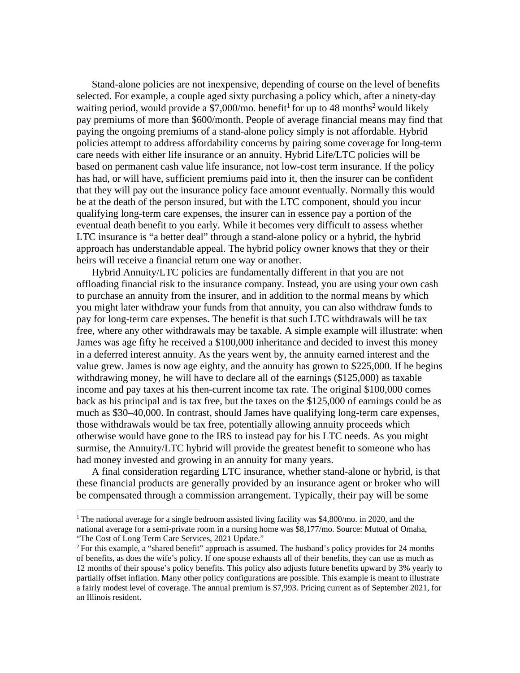Stand-alone policies are not inexpensive, depending of course on the level of benefits selected. For example, a couple aged sixty purchasing a policy which, after a ninety-day waiting period, would provide a  $$7,000$ /mo. benefit<sup>1</sup> for up to 48 months<sup>2</sup> would likely pay premiums of more than \$600/month. People of average financial means may find that paying the ongoing premiums of a stand-alone policy simply is not affordable. Hybrid policies attempt to address affordability concerns by pairing some coverage for long-term care needs with either life insurance or an annuity. Hybrid Life/LTC policies will be based on permanent cash value life insurance, not low-cost term insurance. If the policy has had, or will have, sufficient premiums paid into it, then the insurer can be confident that they will pay out the insurance policy face amount eventually. Normally this would be at the death of the person insured, but with the LTC component, should you incur qualifying long-term care expenses, the insurer can in essence pay a portion of the eventual death benefit to you early. While it becomes very difficult to assess whether LTC insurance is "a better deal" through a stand-alone policy or a hybrid, the hybrid approach has understandable appeal. The hybrid policy owner knows that they or their heirs will receive a financial return one way or another.

Hybrid Annuity/LTC policies are fundamentally different in that you are not offloading financial risk to the insurance company. Instead, you are using your own cash to purchase an annuity from the insurer, and in addition to the normal means by which you might later withdraw your funds from that annuity, you can also withdraw funds to pay for long-term care expenses. The benefit is that such LTC withdrawals will be tax free, where any other withdrawals may be taxable. A simple example will illustrate: when James was age fifty he received a \$100,000 inheritance and decided to invest this money in a deferred interest annuity. As the years went by, the annuity earned interest and the value grew. James is now age eighty, and the annuity has grown to \$225,000. If he begins withdrawing money, he will have to declare all of the earnings (\$125,000) as taxable income and pay taxes at his then-current income tax rate. The original \$100,000 comes back as his principal and is tax free, but the taxes on the \$125,000 of earnings could be as much as \$30–40,000. In contrast, should James have qualifying long-term care expenses, those withdrawals would be tax free, potentially allowing annuity proceeds which otherwise would have gone to the IRS to instead pay for his LTC needs. As you might surmise, the Annuity/LTC hybrid will provide the greatest benefit to someone who has had money invested and growing in an annuity for many years.

A final consideration regarding LTC insurance, whether stand-alone or hybrid, is that these financial products are generally provided by an insurance agent or broker who will be compensated through a commission arrangement. Typically, their pay will be some

<sup>&</sup>lt;sup>1</sup> The national average for a single bedroom assisted living facility was \$4,800/mo. in 2020, and the national average for a semi-private room in a nursing home was \$8,177/mo. Source: Mutual of Omaha, "The Cost of Long Term Care Services, 2021 Update."

 $2$  For this example, a "shared benefit" approach is assumed. The husband's policy provides for 24 months of benefits, as does the wife's policy. If one spouse exhausts all of their benefits, they can use as much as 12 months of their spouse's policy benefits. This policy also adjusts future benefits upward by 3% yearly to partially offset inflation. Many other policy configurations are possible. This example is meant to illustrate a fairly modest level of coverage. The annual premium is \$7,993. Pricing current as of September 2021, for an Illinois resident.